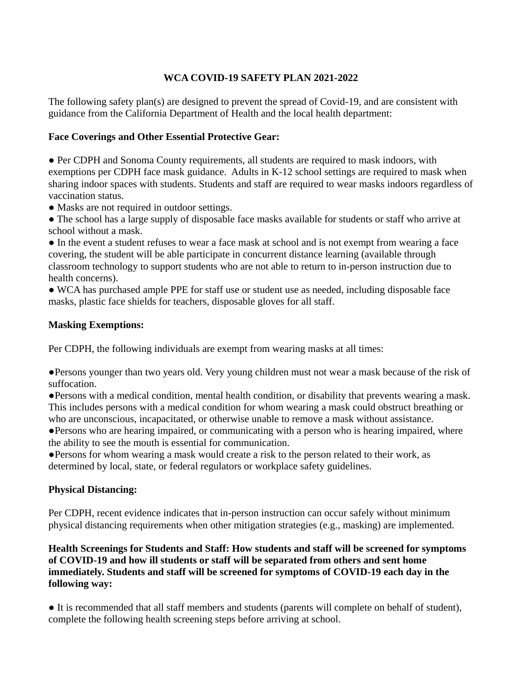## **WCA COVID-19 SAFETY PLAN 2021-2022**

The following safety plan(s) are designed to prevent the spread of Covid-19, and are consistent with guidance from the California Department of Health and the local health department:

### **Face Coverings and Other Essential Protective Gear:**

● Per CDPH and Sonoma County requirements, all students are required to mask indoors, with exemptions per CDPH face mask guidance. Adults in K-12 school settings are required to mask when sharing indoor spaces with students. Students and staff are required to wear masks indoors regardless of vaccination status.

• Masks are not required in outdoor settings.

• The school has a large supply of disposable face masks available for students or staff who arrive at school without a mask.

● In the event a student refuses to wear a face mask at school and is not exempt from wearing a face covering, the student will be able participate in concurrent distance learning (available through classroom technology to support students who are not able to return to in-person instruction due to health concerns).

● WCA has purchased ample PPE for staff use or student use as needed, including disposable face masks, plastic face shields for teachers, disposable gloves for all staff.

#### **Masking Exemptions:**

Per CDPH, the following individuals are exempt from wearing masks at all times:

●Persons younger than two years old. Very young children must not wear a mask because of the risk of suffocation.

●Persons with a medical condition, mental health condition, or disability that prevents wearing a mask. This includes persons with a medical condition for whom wearing a mask could obstruct breathing or who are unconscious, incapacitated, or otherwise unable to remove a mask without assistance.

●Persons who are hearing impaired, or communicating with a person who is hearing impaired, where the ability to see the mouth is essential for communication.

●Persons for whom wearing a mask would create a risk to the person related to their work, as determined by local, state, or federal regulators or workplace safety guidelines.

# **Physical Distancing:**

Per CDPH, recent evidence indicates that in-person instruction can occur safely without minimum physical distancing requirements when other mitigation strategies (e.g., masking) are implemented.

### **Health Screenings for Students and Staff: How students and staff will be screened for symptoms of COVID-19 and how ill students or staff will be separated from others and sent home immediately. Students and staff will be screened for symptoms of COVID-19 each day in the following way:**

● It is recommended that all staff members and students (parents will complete on behalf of student), complete the following health screening steps before arriving at school.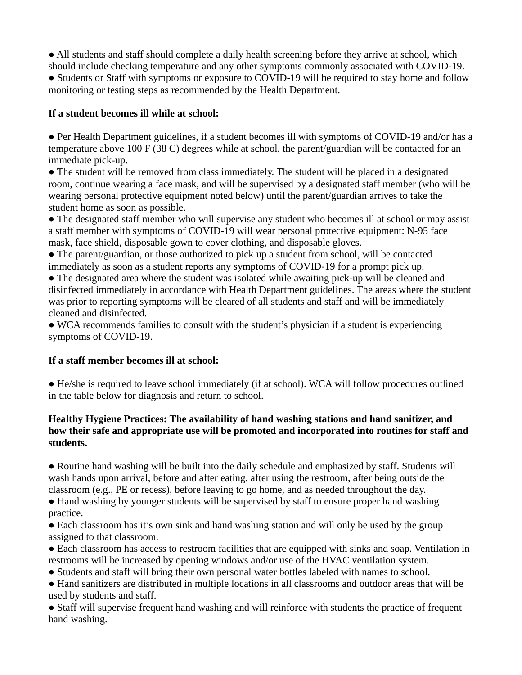• All students and staff should complete a daily health screening before they arrive at school, which

should include checking temperature and any other symptoms commonly associated with COVID-19. ● Students or Staff with symptoms or exposure to COVID-19 will be required to stay home and follow monitoring or testing steps as recommended by the Health Department.

#### **If a student becomes ill while at school:**

● Per Health Department guidelines, if a student becomes ill with symptoms of COVID-19 and/or has a temperature above 100 F (38 C) degrees while at school, the parent/guardian will be contacted for an immediate pick-up.

• The student will be removed from class immediately. The student will be placed in a designated room, continue wearing a face mask, and will be supervised by a designated staff member (who will be wearing personal protective equipment noted below) until the parent/guardian arrives to take the student home as soon as possible.

• The designated staff member who will supervise any student who becomes ill at school or may assist a staff member with symptoms of COVID-19 will wear personal protective equipment: N-95 face mask, face shield, disposable gown to cover clothing, and disposable gloves.

● The parent/guardian, or those authorized to pick up a student from school, will be contacted immediately as soon as a student reports any symptoms of COVID-19 for a prompt pick up.

• The designated area where the student was isolated while awaiting pick-up will be cleaned and disinfected immediately in accordance with Health Department guidelines. The areas where the student was prior to reporting symptoms will be cleared of all students and staff and will be immediately cleaned and disinfected.

• WCA recommends families to consult with the student's physician if a student is experiencing symptoms of COVID-19.

#### **If a staff member becomes ill at school:**

● He/she is required to leave school immediately (if at school). WCA will follow procedures outlined in the table below for diagnosis and return to school.

#### **Healthy Hygiene Practices: The availability of hand washing stations and hand sanitizer, and how their safe and appropriate use will be promoted and incorporated into routines for staff and students.**

● Routine hand washing will be built into the daily schedule and emphasized by staff. Students will wash hands upon arrival, before and after eating, after using the restroom, after being outside the classroom (e.g., PE or recess), before leaving to go home, and as needed throughout the day.

• Hand washing by younger students will be supervised by staff to ensure proper hand washing practice.

• Each classroom has it's own sink and hand washing station and will only be used by the group assigned to that classroom.

● Each classroom has access to restroom facilities that are equipped with sinks and soap. Ventilation in restrooms will be increased by opening windows and/or use of the HVAC ventilation system.

● Students and staff will bring their own personal water bottles labeled with names to school.

● Hand sanitizers are distributed in multiple locations in all classrooms and outdoor areas that will be used by students and staff.

● Staff will supervise frequent hand washing and will reinforce with students the practice of frequent hand washing.